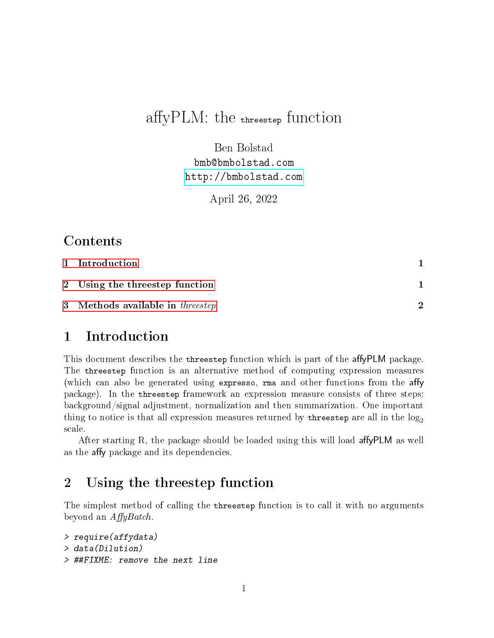# affy $PLM$ : the threestep function

Ben Bolstad bmb@bmbolstad.com <http://bmbolstad.com>

April 26, 2022

### Contents

| 1 Introduction                          |               |
|-----------------------------------------|---------------|
| 2 Using the threestep function          |               |
| 3 Methods available in <i>threestep</i> | $\mathcal{D}$ |

### <span id="page-0-0"></span>1 Introduction

This document describes the threestep function which is part of the affyPLM package. The threestep function is an alternative method of computing expression measures (which can also be generated using expresso,  $r$ ma and other functions from the affy package). In the threestep framework an expression measure consists of three steps: background/signal adjustment, normalization and then summarization. One important thing to notice is that all expression measures returned by threestep are all in the  $log_2$ scale.

After starting R, the package should be loaded using this will load affy  $PLM$  as well as the affy package and its dependencies.

## <span id="page-0-1"></span>2 Using the threestep function

The simplest method of calling the threestep function is to call it with no arguments beyond an  $AffyBatch$ .

```
> require(affydata)
> data(Dilution)
> ##FIXME: remove the next line
```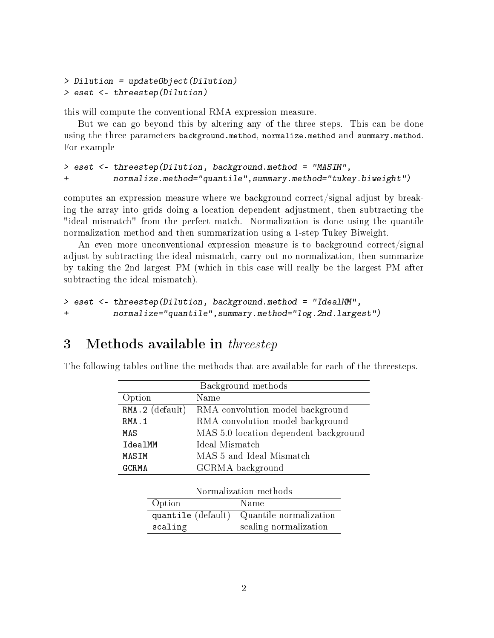```
> Dilution = updateObject(Dilution)
> eset <- threestep(Dilution)
```
this will compute the conventional RMA expression measure.

But we can go beyond this by altering any of the three steps. This can be done using the three parameters background.method, normalize.method and summary.method. For example

#### > eset <- threestep(Dilution, background.method = "MASIM", + normalize.method="quantile",summary.method="tukey.biweight")

computes an expression measure where we background correct/signal adjust by breaking the array into grids doing a location dependent adjustment, then subtracting the "ideal mismatch" from the perfect match. Normalization is done using the quantile normalization method and then summarization using a 1-step Tukey Biweight.

An even more unconventional expression measure is to background correct/signal adjust by subtracting the ideal mismatch, carry out no normalization, then summarize by taking the 2nd largest PM (which in this case will really be the largest PM after subtracting the ideal mismatch).

```
> eset <- threestep(Dilution, background.method = "IdealMM",
+ normalize="quantile",summary.method="log.2nd.largest")
```
#### <span id="page-1-0"></span>3 Methods available in *threestep*

The following tables outline the methods that are available for each of the threesteps.

| Background methods    |                                              |  |  |  |
|-----------------------|----------------------------------------------|--|--|--|
| Option                | Name                                         |  |  |  |
| $RMA.2$ (default)     | RMA convolution model background             |  |  |  |
| RMA.1                 | RMA convolution model background             |  |  |  |
| MAS                   | MAS 5.0 location dependent background        |  |  |  |
| IdealMM               | Ideal Mismatch                               |  |  |  |
| MASIM                 | MAS 5 and Ideal Mismatch                     |  |  |  |
| GCRMA                 | GCRMA background                             |  |  |  |
|                       |                                              |  |  |  |
| Normalization methods |                                              |  |  |  |
| Option                | Name                                         |  |  |  |
|                       | Quantile normalization<br>quantile (default) |  |  |  |

scaling scaling normalization